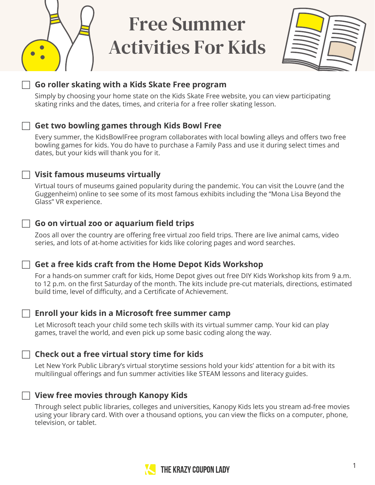

# Free Summer Activities For Kids



# F **Go roller skating with a Kids Skate Free program**

Simply by choosing your home state on the Kids Skate Free website, you can view participating skating rinks and the dates, times, and criteria for a free roller skating lesson.

### F **Get two bowling games through Kids Bowl Free**

Every summer, the KidsBowlFree program collaborates with local bowling alleys and offers two free bowling games for kids. You do have to purchase a Family Pass and use it during select times and dates, but your kids will thank you for it.

#### F **Visit famous museums virtually**

Virtual tours of museums gained popularity during the pandemic. You can visit the Louvre (and the Guggenheim) online to see some of its most famous exhibits including the "Mona Lisa Beyond the Glass" VR experience.

### F **Go on virtual zoo or aquarium field trips**

Zoos all over the country are offering free virtual zoo field trips. There are live animal cams, video series, and lots of at-home activities for kids like coloring pages and word searches.

#### $\sqcap$  Get a free kids craft from the Home Depot Kids Workshop

For a hands-on summer craft for kids, Home Depot gives out free DIY Kids Workshop kits from 9 a.m. to 12 p.m. on the first Saturday of the month. The kits include pre-cut materials, directions, estimated build time, level of difficulty, and a Certificate of Achievement.

#### F **Enroll your kids in a Microsoft free summer camp**

Let Microsoft teach your child some tech skills with its virtual summer camp. Your kid can play games, travel the world, and even pick up some basic coding along the way.

#### F **Check out a free virtual story time for kids**

Let New York Public Library's virtual storytime sessions hold your kids' attention for a bit with its multilingual offerings and fun summer activities like STEAM lessons and literacy guides.

#### **The View free movies through Kanopy Kids**

Through select public libraries, colleges and universities, Kanopy Kids lets you stream ad-free movies using your library card. With over a thousand options, you can view the flicks on a computer, phone, television, or tablet.